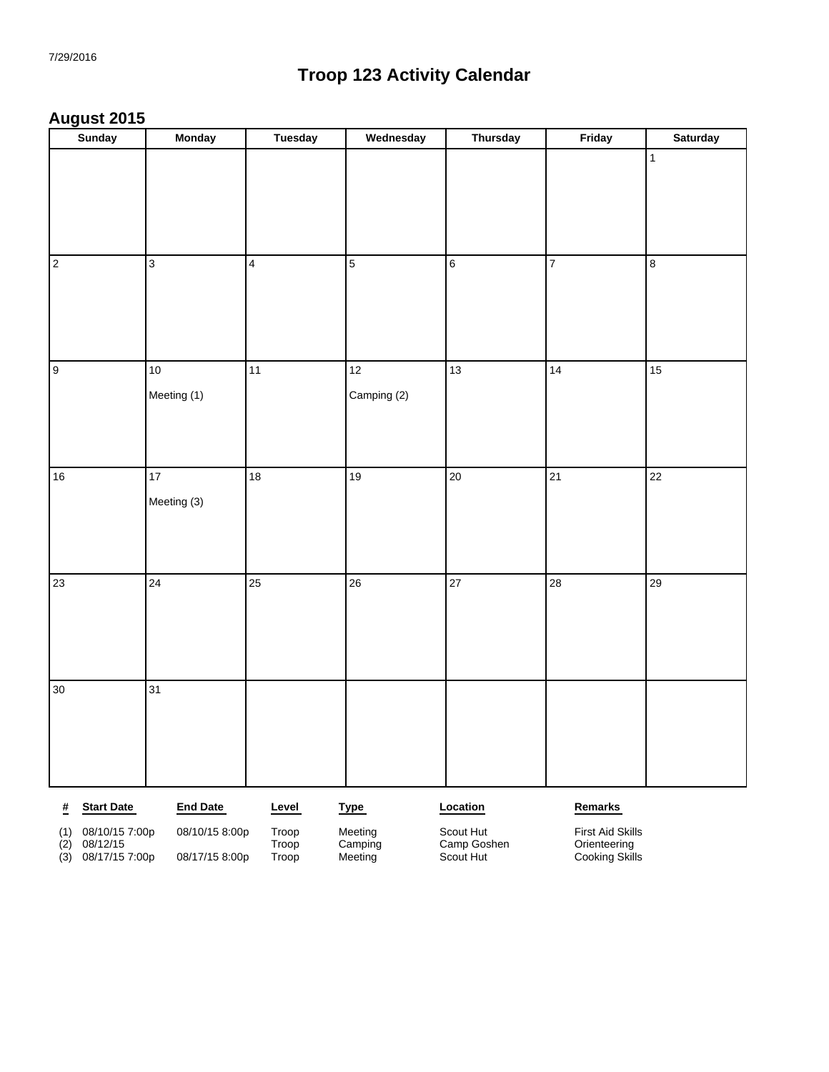#### **August 2015**

| <b>Sunday</b>                   | <b>Monday</b>           | <b>Tuesday</b> | Wednesday      | <b>Thursday</b> | Friday          | <b>Saturday</b> |
|---------------------------------|-------------------------|----------------|----------------|-----------------|-----------------|-----------------|
|                                 |                         |                |                |                 |                 | $\mathbf{1}$    |
|                                 |                         |                |                |                 |                 |                 |
|                                 |                         |                |                |                 |                 |                 |
|                                 |                         |                |                |                 |                 |                 |
|                                 |                         |                |                |                 |                 |                 |
| $\sqrt{2}$                      | $\overline{\mathbf{3}}$ | $\boxed{4}$    | $\overline{5}$ | $\overline{6}$  | $\overline{7}$  | $\overline{8}$  |
|                                 |                         |                |                |                 |                 |                 |
|                                 |                         |                |                |                 |                 |                 |
|                                 |                         |                |                |                 |                 |                 |
| 9                               | $10\,$                  | 11             | 12             | 13              | 14              | 15              |
|                                 |                         |                |                |                 |                 |                 |
|                                 | Meeting (1)             |                | Camping (2)    |                 |                 |                 |
|                                 |                         |                |                |                 |                 |                 |
|                                 |                         |                |                |                 |                 |                 |
| 16                              | 17                      | 18             | 19             | $\overline{20}$ | $\overline{21}$ | $\overline{22}$ |
|                                 | Meeting (3)             |                |                |                 |                 |                 |
|                                 |                         |                |                |                 |                 |                 |
|                                 |                         |                |                |                 |                 |                 |
|                                 |                         |                |                |                 |                 |                 |
| $ 23\rangle$                    | $\overline{24}$         | 25             | 26             | $\overline{27}$ | 28              | 29              |
|                                 |                         |                |                |                 |                 |                 |
|                                 |                         |                |                |                 |                 |                 |
|                                 |                         |                |                |                 |                 |                 |
| 30                              | $\overline{31}$         |                |                |                 |                 |                 |
|                                 |                         |                |                |                 |                 |                 |
|                                 |                         |                |                |                 |                 |                 |
|                                 |                         |                |                |                 |                 |                 |
|                                 |                         |                |                |                 |                 |                 |
|                                 |                         |                |                |                 |                 |                 |
| <b>Start Date</b><br>$\pmb{\#}$ | <b>End Date</b>         | Level          | <b>Type</b>    | Location        | Remarks         |                 |

| $08/10/15$ 7:00p |
|------------------|

(2) 08/12/15 Troop Camping Camp Goshen Orienteering

(1) 08/10/15 7:00p 08/10/15 8:00p Troop Meeting Scout Hut First Aid Skills (3) 08/17/15 7:00p 08/17/15 8:00p Troop Meeting Scout Hut Scout Hut Cooking Skills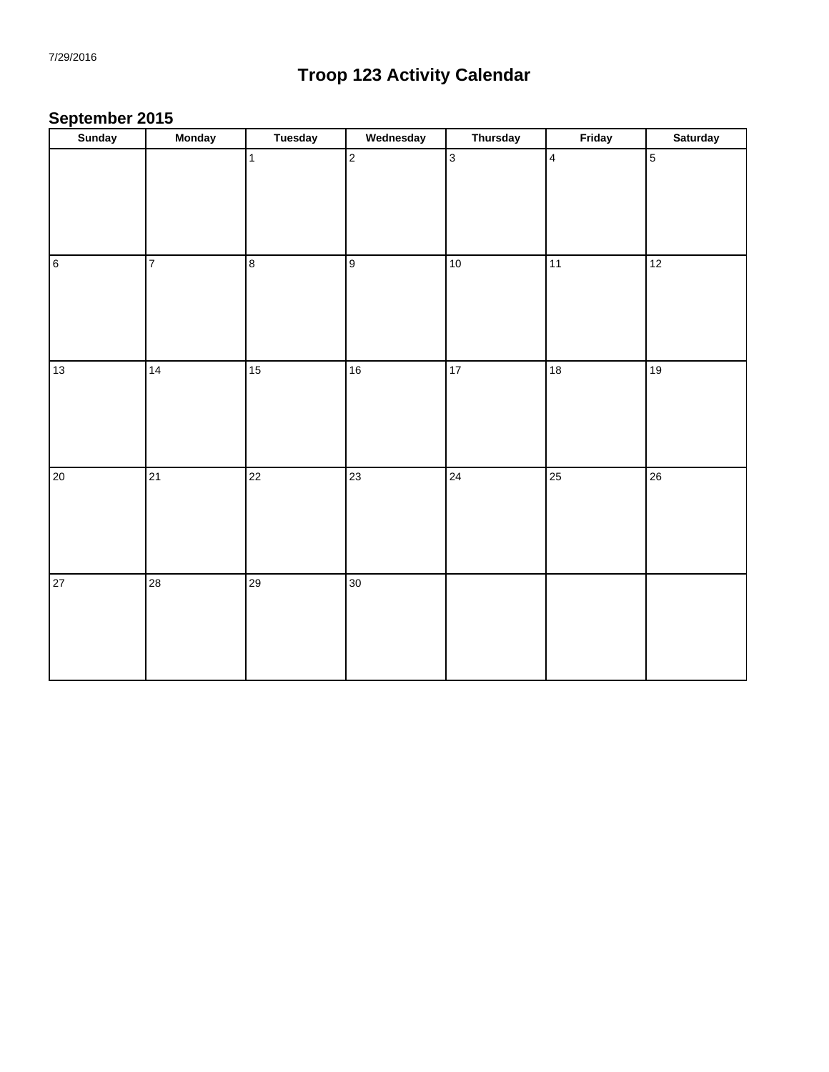### **September 2015**

| Sunday         | <b>Monday</b>           | <b>Tuesday</b> | Wednesday      | <b>Thursday</b> | Friday                  | <b>Saturday</b> |
|----------------|-------------------------|----------------|----------------|-----------------|-------------------------|-----------------|
|                |                         | $\mathbf{1}$   | $\overline{2}$ | $\overline{3}$  | $\overline{\mathbf{4}}$ | $\overline{5}$  |
| $\overline{6}$ | $\overline{\mathbf{7}}$ | 8              | 9              | $10\,$          | 11                      | 12              |
| 13             | 14                      | $15\,$         | 16             | 17              | $\overline{18}$         | 19              |
| 20             | 21                      | 22             | 23             | 24              | $\overline{25}$         | 26              |
| 27             | $28\,$                  | 29             | 30             |                 |                         |                 |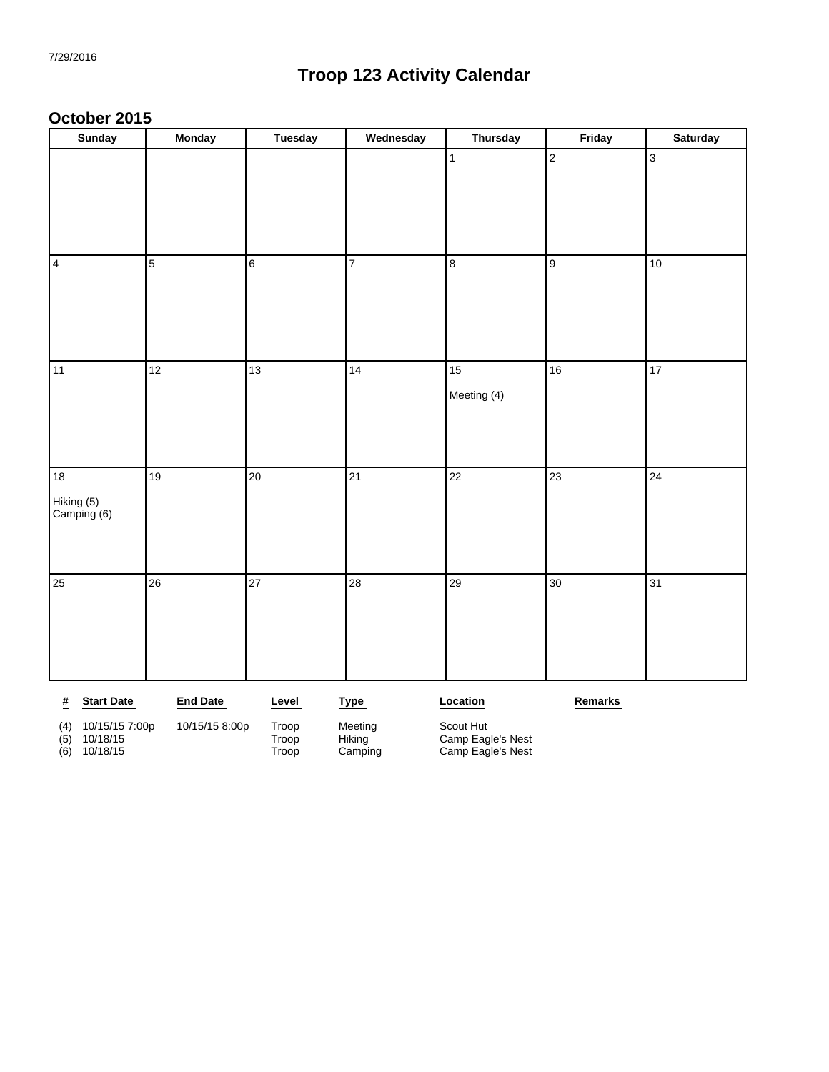#### **October 2015**

| <b>Sunday</b>                        | <b>Monday</b>   | <b>Tuesday</b> | Wednesday   | <b>Thursday</b> | Friday         | <b>Saturday</b> |
|--------------------------------------|-----------------|----------------|-------------|-----------------|----------------|-----------------|
|                                      |                 |                |             | $\mathbf{1}$    | $\overline{2}$ | $\overline{3}$  |
|                                      |                 |                |             |                 |                |                 |
|                                      |                 |                |             |                 |                |                 |
| 4                                    | 5               | $6\phantom{a}$ | 7           | 8               | 9              | $10$            |
|                                      |                 |                |             |                 |                |                 |
|                                      |                 |                |             |                 |                |                 |
| 11                                   | 12              | 13             | 14          | 15              | 16             | $\overline{17}$ |
|                                      |                 |                |             | Meeting (4)     |                |                 |
|                                      |                 |                |             |                 |                |                 |
|                                      |                 |                |             |                 |                |                 |
| $18\,$                               | 19              | 20             | 21          | 22              | 23             | 24              |
| Hiking (5)<br>Camping (6)            |                 |                |             |                 |                |                 |
|                                      |                 |                |             |                 |                |                 |
|                                      |                 |                |             |                 |                |                 |
| 25                                   | 26              | 27             | 28          | 29              | 30             | 31              |
|                                      |                 |                |             |                 |                |                 |
|                                      |                 |                |             |                 |                |                 |
|                                      |                 |                |             |                 |                |                 |
| $\frac{\mu}{2}$<br><b>Start Date</b> | <b>End Date</b> | Level          | <b>Type</b> | Location        | Remarks        |                 |
| (4) 10/15/15 7:00p                   | 10/15/15 8:00p  | Troop          | Meeting     | Scout Hut       |                |                 |

(5) 10/18/15 Troop Hiking Camp Eagle's Nest (6) 10/18/15 Troop Camping Camp Eagle's Nest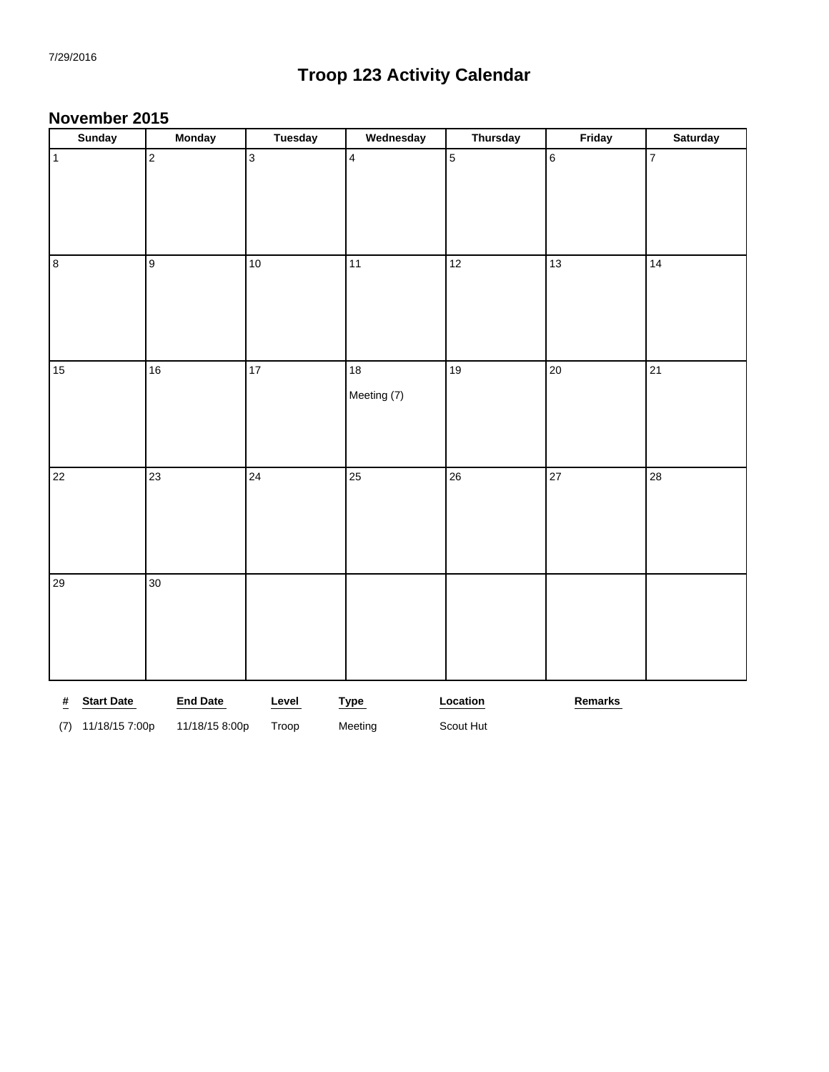#### **November 2015**

| <b>Sunday</b>                        | <b>Monday</b>   | Tuesday         | Wednesday      | <b>Thursday</b> | Friday          | <b>Saturday</b> |
|--------------------------------------|-----------------|-----------------|----------------|-----------------|-----------------|-----------------|
| $\vert$ 1                            | $\overline{2}$  | 3               | $\overline{4}$ | $\sqrt{5}$      | $6\,$           | $\overline{7}$  |
|                                      |                 |                 |                |                 |                 |                 |
|                                      |                 |                 |                |                 |                 |                 |
|                                      |                 |                 |                |                 |                 |                 |
| $\mathsf{B}$                         | 9               | $10\,$          | 11             | 12              | 13              | 14              |
|                                      |                 |                 |                |                 |                 |                 |
|                                      |                 |                 |                |                 |                 |                 |
| 15                                   | 16              | $\overline{17}$ | 18             | 19              | $\overline{20}$ | 21              |
|                                      |                 |                 | Meeting (7)    |                 |                 |                 |
|                                      |                 |                 |                |                 |                 |                 |
|                                      |                 |                 |                |                 |                 |                 |
|                                      |                 |                 |                |                 |                 |                 |
| 22                                   | 23              | $\overline{24}$ | 25             | 26              | $\overline{27}$ | 28              |
|                                      |                 |                 |                |                 |                 |                 |
|                                      |                 |                 |                |                 |                 |                 |
|                                      |                 |                 |                |                 |                 |                 |
| 29                                   | 30              |                 |                |                 |                 |                 |
|                                      |                 |                 |                |                 |                 |                 |
|                                      |                 |                 |                |                 |                 |                 |
|                                      |                 |                 |                |                 |                 |                 |
| <b>Start Date</b><br>$\frac{\#}{\#}$ | <b>End Date</b> | Level           | <b>Type</b>    | Location        | Remarks         |                 |
| 11/18/15 7:00p<br>(7)                | 11/18/15 8:00p  | Troop           | Meeting        | Scout Hut       |                 |                 |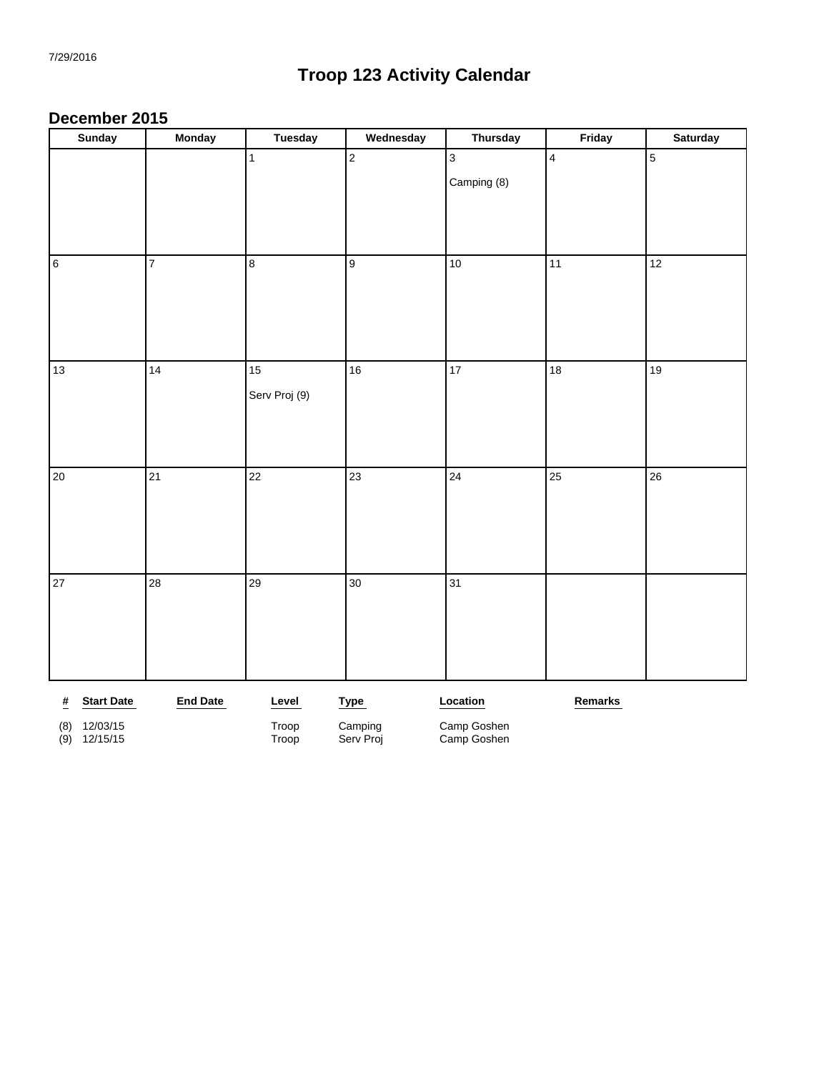#### **December 2015**

|                 | <b>Sunday</b>     | <b>Monday</b>   | <b>Tuesday</b> | Wednesday            | <b>Thursday</b>            | Friday                  | <b>Saturday</b> |
|-----------------|-------------------|-----------------|----------------|----------------------|----------------------------|-------------------------|-----------------|
|                 |                   |                 | $\mathbf{1}$   | $\vert$ <sub>2</sub> | $\mathbf{3}$               | $\overline{\mathbf{4}}$ | $\overline{5}$  |
|                 |                   |                 |                |                      | Camping (8)                |                         |                 |
|                 |                   |                 |                |                      |                            |                         |                 |
|                 |                   |                 |                |                      |                            |                         |                 |
|                 |                   |                 |                |                      |                            |                         |                 |
| $\overline{6}$  |                   | $\overline{7}$  | $\bf 8$        | 9                    | 10                         | 11                      | 12              |
|                 |                   |                 |                |                      |                            |                         |                 |
|                 |                   |                 |                |                      |                            |                         |                 |
|                 |                   |                 |                |                      |                            |                         |                 |
|                 |                   |                 |                |                      |                            |                         |                 |
| 13              |                   | 14              | 15             | 16                   | $17\,$                     | 18                      | 19              |
|                 |                   |                 | Serv Proj (9)  |                      |                            |                         |                 |
|                 |                   |                 |                |                      |                            |                         |                 |
|                 |                   |                 |                |                      |                            |                         |                 |
|                 |                   |                 |                |                      |                            |                         |                 |
| 20              |                   | 21              | 22             | 23                   | 24                         | 25                      | 26              |
|                 |                   |                 |                |                      |                            |                         |                 |
|                 |                   |                 |                |                      |                            |                         |                 |
|                 |                   |                 |                |                      |                            |                         |                 |
|                 |                   |                 |                |                      |                            |                         |                 |
| 27              |                   | 28              | 29             | 30                   | 31                         |                         |                 |
|                 |                   |                 |                |                      |                            |                         |                 |
|                 |                   |                 |                |                      |                            |                         |                 |
|                 |                   |                 |                |                      |                            |                         |                 |
|                 |                   |                 |                |                      |                            |                         |                 |
| $\frac{\#}{\#}$ | <b>Start Date</b> | <b>End Date</b> | Level          | <b>Type</b>          | Location                   | Remarks                 |                 |
| (8)             | 12/03/15          |                 | Troop          | Camping<br>Serv Proj | Camp Goshen<br>Camp Goshen |                         |                 |
| (9)             | 12/15/15          |                 | Troop          |                      |                            |                         |                 |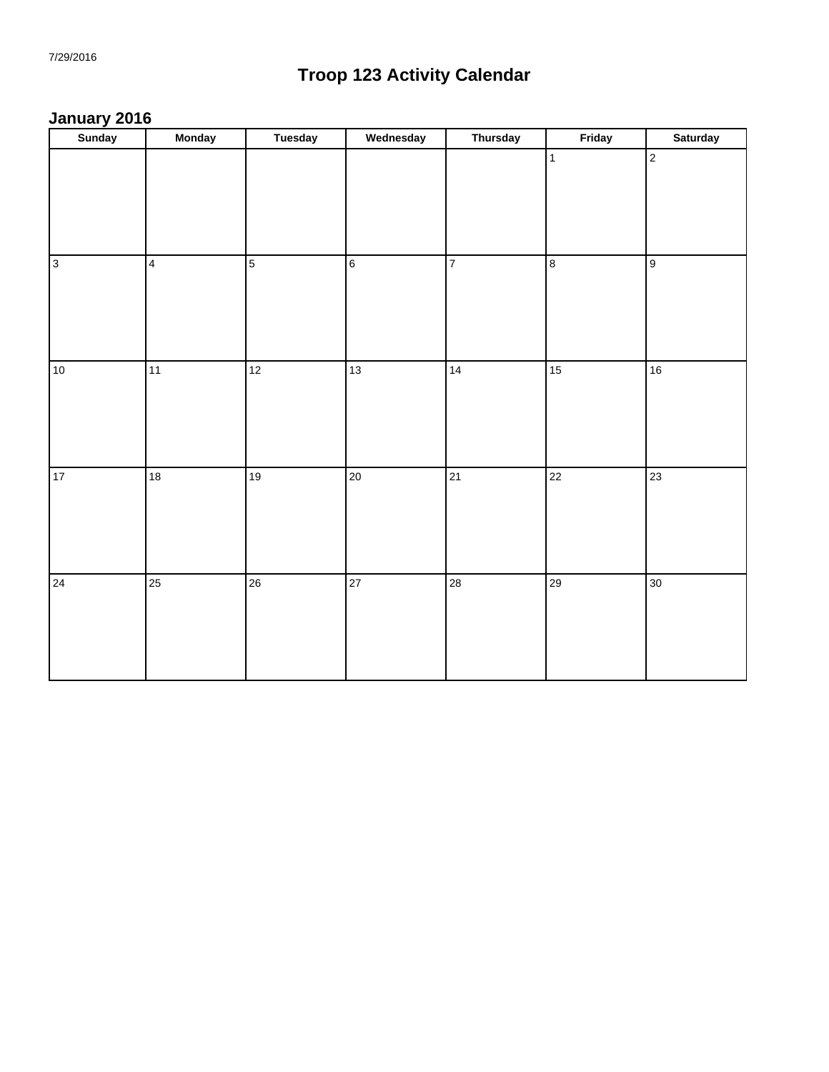#### **January 2016**

| <b>Sunday</b> | Monday                  | <b>Tuesday</b> | Wednesday       | <b>Thursday</b> | Friday                   | <b>Saturday</b> |
|---------------|-------------------------|----------------|-----------------|-----------------|--------------------------|-----------------|
|               |                         |                |                 |                 | $\vert$ 1                | $\overline{2}$  |
| $\sqrt{3}$    | $\overline{\mathbf{4}}$ | $\boxed{5}$    | $6\overline{6}$ | $\overline{7}$  | $\boldsymbol{8}$         | 9               |
| 10            | $\overline{11}$         | 12             | $\boxed{13}$    | 14              | $\overline{\mathbf{15}}$ | 16              |
| $17 \,$       | 18                      | 19             | 20              | 21              | 22                       | 23              |
| 24            | 25                      | 26             | 27              | 28              | 29                       | 30 <sub>o</sub> |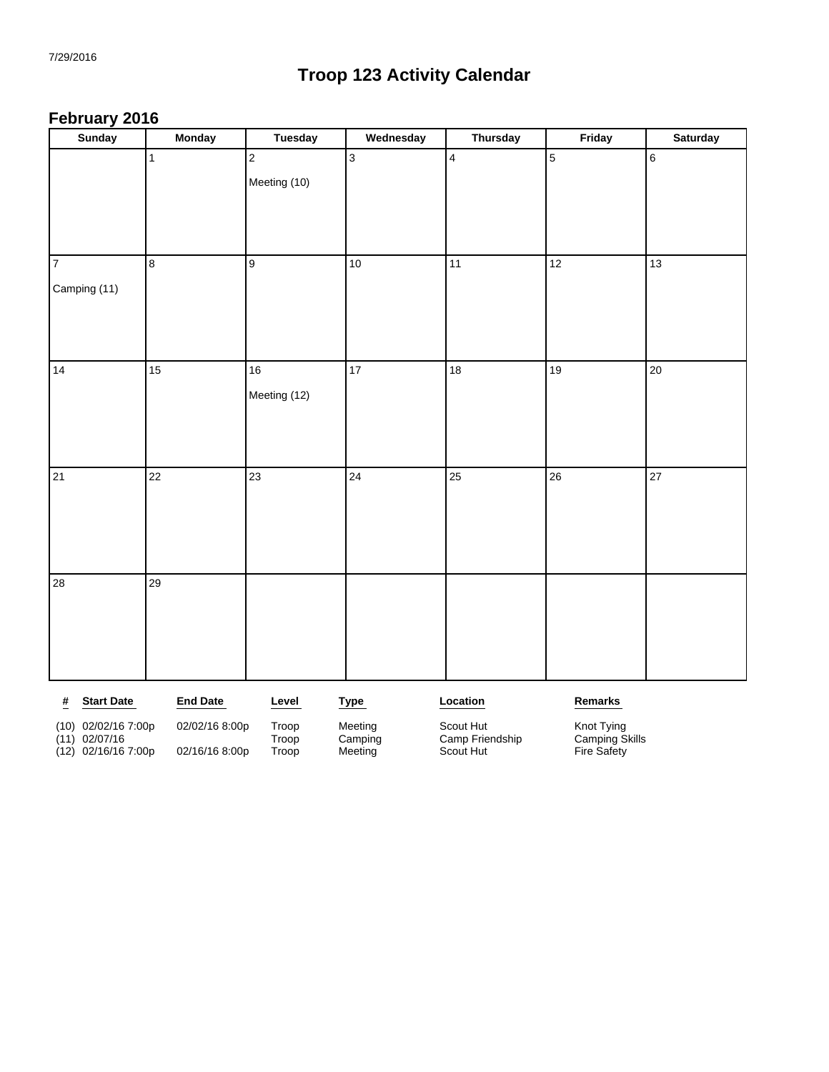#### **February 2016**

| <b>Sunday</b>                            | <b>Monday</b>   | <b>Tuesday</b> | Wednesday          | <b>Thursday</b>              | Friday                        | Saturday |
|------------------------------------------|-----------------|----------------|--------------------|------------------------------|-------------------------------|----------|
|                                          | $\mathbf{1}$    | $\overline{c}$ | 3                  | $\overline{\mathbf{4}}$      | 5                             | $\,6$    |
|                                          |                 | Meeting (10)   |                    |                              |                               |          |
|                                          |                 |                |                    |                              |                               |          |
|                                          |                 |                |                    |                              |                               |          |
|                                          |                 |                |                    |                              |                               |          |
| $\overline{7}$                           | $\bf 8$         | 9              | 10                 | 11                           | 12                            | 13       |
| Camping (11)                             |                 |                |                    |                              |                               |          |
|                                          |                 |                |                    |                              |                               |          |
|                                          |                 |                |                    |                              |                               |          |
|                                          |                 |                |                    |                              |                               |          |
| 14                                       | 15              | 16             | 17                 | 18                           | 19                            | 20       |
|                                          |                 | Meeting (12)   |                    |                              |                               |          |
|                                          |                 |                |                    |                              |                               |          |
|                                          |                 |                |                    |                              |                               |          |
|                                          |                 |                |                    |                              |                               |          |
| 21                                       | 22              | 23             | 24                 | 25                           | 26                            | 27       |
|                                          |                 |                |                    |                              |                               |          |
|                                          |                 |                |                    |                              |                               |          |
|                                          |                 |                |                    |                              |                               |          |
|                                          |                 |                |                    |                              |                               |          |
| 28                                       | 29              |                |                    |                              |                               |          |
|                                          |                 |                |                    |                              |                               |          |
|                                          |                 |                |                    |                              |                               |          |
|                                          |                 |                |                    |                              |                               |          |
|                                          |                 |                |                    |                              |                               |          |
| $\pmb{\#}$<br><b>Start Date</b>          | <b>End Date</b> | Level          | <b>Type</b>        | Location                     | Remarks                       |          |
| (10) 02/02/16 7:00p                      | 02/02/16 8:00p  | Troop          | Meeting            | Scout Hut                    | Knot Tying                    |          |
| $(11)$ 02/07/16<br>$(12)$ 02/16/16 7:00p | 02/16/16 8:00p  | Troop<br>Troop | Camping<br>Meeting | Camp Friendship<br>Scout Hut | Camping Skills<br>Fire Safety |          |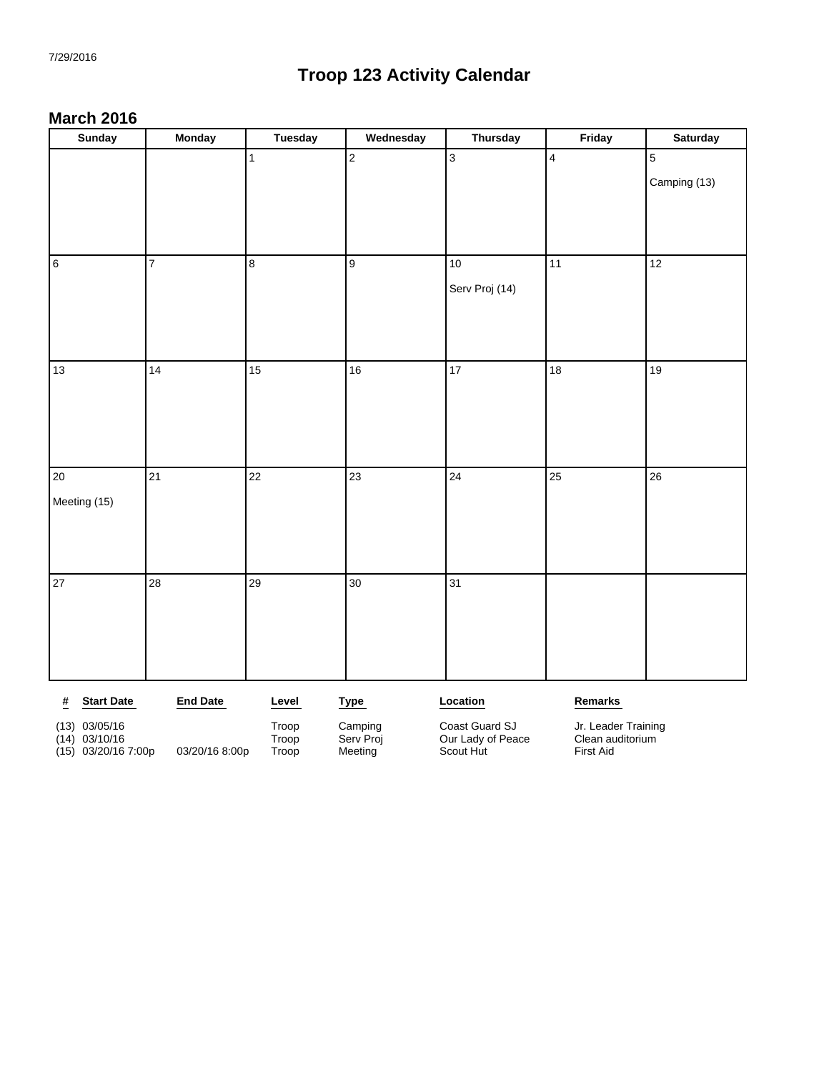#### **March 2016**

| <b>Sunday</b>                                                     | <b>Monday</b>   | <b>Tuesday</b>          | Wednesday      | <b>Thursday</b> | Friday          | <b>Saturday</b> |
|-------------------------------------------------------------------|-----------------|-------------------------|----------------|-----------------|-----------------|-----------------|
|                                                                   |                 | $\mathbf{1}$            | $\overline{2}$ | $\overline{3}$  | $\overline{4}$  | $\overline{5}$  |
|                                                                   |                 |                         |                |                 |                 | Camping (13)    |
|                                                                   |                 |                         |                |                 |                 |                 |
|                                                                   |                 |                         |                |                 |                 |                 |
|                                                                   |                 |                         |                |                 |                 |                 |
| $\overline{6}$                                                    | $\overline{7}$  | $\overline{\mathbf{8}}$ | 9              | $10$            | 11              | 12              |
|                                                                   |                 |                         |                | Serv Proj (14)  |                 |                 |
|                                                                   |                 |                         |                |                 |                 |                 |
|                                                                   |                 |                         |                |                 |                 |                 |
|                                                                   |                 |                         |                |                 |                 |                 |
| 13                                                                | 14              | 15                      | 16             | $\overline{17}$ | 18              | 19              |
|                                                                   |                 |                         |                |                 |                 |                 |
|                                                                   |                 |                         |                |                 |                 |                 |
|                                                                   |                 |                         |                |                 |                 |                 |
|                                                                   |                 |                         |                |                 |                 |                 |
| 20                                                                | $\overline{21}$ | $\overline{22}$         | 23             | 24              | $\overline{25}$ | 26              |
| Meeting (15)                                                      |                 |                         |                |                 |                 |                 |
|                                                                   |                 |                         |                |                 |                 |                 |
|                                                                   |                 |                         |                |                 |                 |                 |
|                                                                   |                 |                         |                |                 |                 |                 |
| 27                                                                | 28              | 29                      | 30             | 31              |                 |                 |
|                                                                   |                 |                         |                |                 |                 |                 |
|                                                                   |                 |                         |                |                 |                 |                 |
|                                                                   |                 |                         |                |                 |                 |                 |
|                                                                   |                 |                         |                |                 |                 |                 |
| <b>Start Date</b><br>$\overline{\underline{\textbf{\textit{H}}}}$ | <b>End Date</b> | Level                   | <b>Type</b>    | Location        | Remarks         |                 |
|                                                                   |                 |                         |                |                 |                 |                 |

(13) 03/05/16 (13) 03/05/16 Troop Camping Coast Guard SJ Jr. Leader Training<br>
(14) 03/10/16 Troop Troop Serv Proj Our Lady of Peace Clean auditorium<br>
(15) 03/20/16 7:00p 03/20/16 8:00p Troop Meeting Scout Hut Tirst Aid (14) 03/10/16 Troop Serv Proj Our Lady of Peace Clean auditorium (15) 03/20/16 7:00p 03/20/16 8:00p Troop Meeting Scout Hut First Aid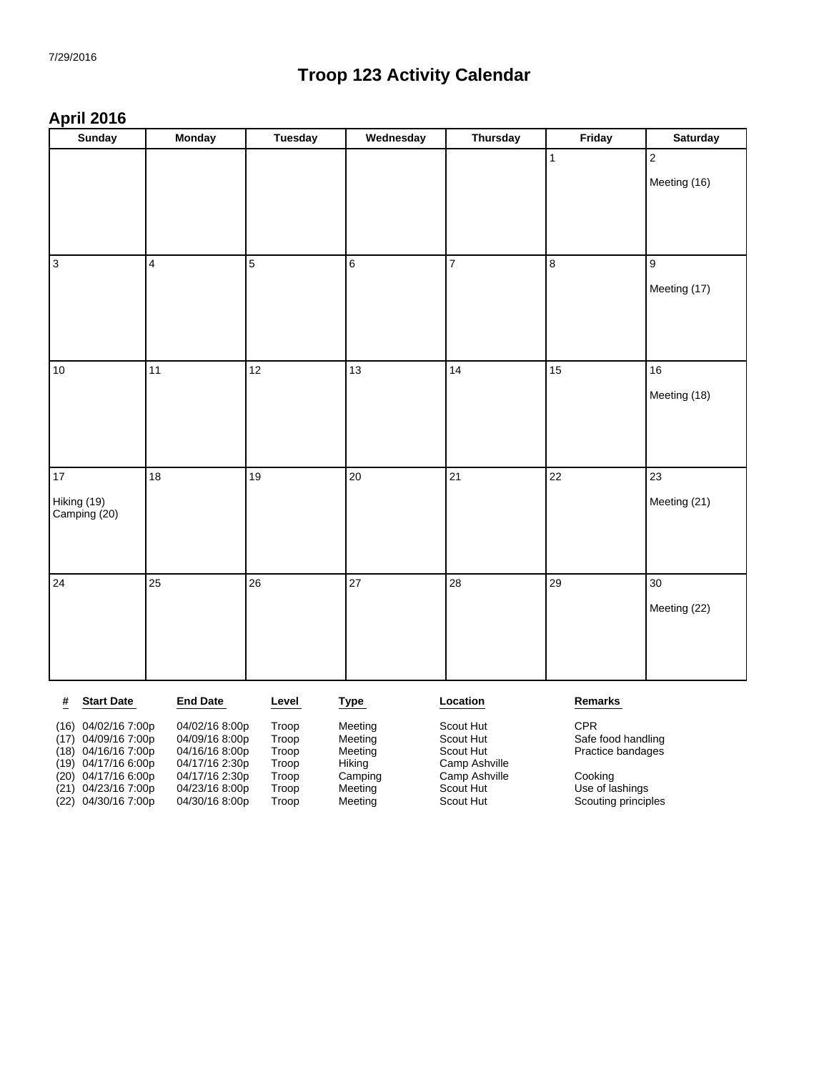#### **April 2016**

| <b>Sunday</b>               | <b>Monday</b>           | <b>Tuesday</b> | Wednesday      | <b>Thursday</b> | Friday                  | <b>Saturday</b> |
|-----------------------------|-------------------------|----------------|----------------|-----------------|-------------------------|-----------------|
|                             |                         |                |                |                 | $\mathbf{1}$            | $\overline{2}$  |
|                             |                         |                |                |                 |                         | Meeting (16)    |
|                             |                         |                |                |                 |                         |                 |
|                             |                         |                |                |                 |                         |                 |
|                             |                         |                |                |                 |                         |                 |
| $\sqrt{3}$                  | $\overline{\mathbf{4}}$ | 5              | $\overline{6}$ | $\overline{7}$  | $\overline{\mathbf{8}}$ | 9               |
|                             |                         |                |                |                 |                         | Meeting (17)    |
|                             |                         |                |                |                 |                         |                 |
|                             |                         |                |                |                 |                         |                 |
|                             |                         |                |                |                 |                         |                 |
| 10                          | 11                      | 12             | 13             | 14              | 15                      | 16              |
|                             |                         |                |                |                 |                         | Meeting (18)    |
|                             |                         |                |                |                 |                         |                 |
|                             |                         |                |                |                 |                         |                 |
| 17                          | 18                      | 19             | 20             | 21              | 22                      | 23              |
|                             |                         |                |                |                 |                         |                 |
| Hiking (19)<br>Camping (20) |                         |                |                |                 |                         | Meeting (21)    |
|                             |                         |                |                |                 |                         |                 |
|                             |                         |                |                |                 |                         |                 |
| 24                          | 25                      | 26             | 27             | 28              | 29                      | 30              |
|                             |                         |                |                |                 |                         | Meeting (22)    |
|                             |                         |                |                |                 |                         |                 |
|                             |                         |                |                |                 |                         |                 |
|                             |                         |                |                |                 |                         |                 |
| <b>Start Date</b>           | <b>End Date</b>         | Level          |                | Location        | Remarks                 |                 |
| #                           |                         |                | <b>Type</b>    |                 |                         |                 |

|      | $(16)$ 04/02/16 7:00p | 04/02/16 8:00p | Troop | Meeting | Scout Hut     | <b>CPR</b>          |
|------|-----------------------|----------------|-------|---------|---------------|---------------------|
|      | $(17)$ 04/09/16 7:00p | 04/09/16 8:00p | Troop | Meeting | Scout Hut     | Safe food handling  |
|      | $(18)$ 04/16/16 7:00p | 04/16/16 8:00p | Troop | Meeting | Scout Hut     | Practice bandages   |
|      | $(19)$ 04/17/16 6:00p | 04/17/16 2:30p | Troop | Hiking  | Camp Ashville |                     |
|      | $(20)$ 04/17/16 6:00p | 04/17/16 2:30p | Troop | Camping | Camp Ashville | Cooking             |
| (21) | 04/23/16 7:00p        | 04/23/16 8:00p | Troop | Meeting | Scout Hut     | Use of lashings     |
|      | (22) 04/30/16 7:00p   | 04/30/16 8:00p | Troop | Meeting | Scout Hut     | Scouting principles |
|      |                       |                |       |         |               |                     |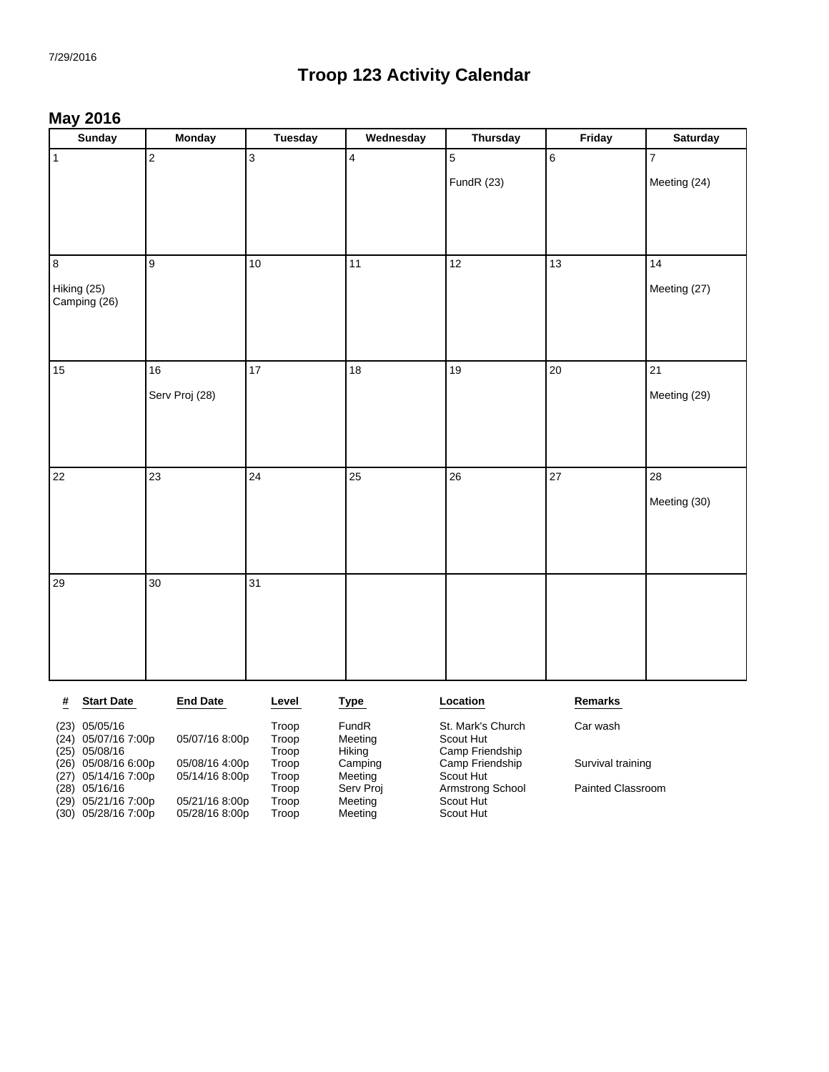#### **May 2016**

| <b>Sunday</b>               | Monday          | <b>Tuesday</b> | Wednesday | <b>Thursday</b> | Friday          | <b>Saturday</b> |
|-----------------------------|-----------------|----------------|-----------|-----------------|-----------------|-----------------|
| $\overline{1}$              | $\overline{2}$  | $\overline{3}$ | $\vert$ 4 | $\overline{5}$  | $6\overline{6}$ | $\overline{7}$  |
|                             |                 |                |           | FundR (23)      |                 | Meeting (24)    |
|                             |                 |                |           |                 |                 |                 |
|                             |                 |                |           |                 |                 |                 |
|                             |                 |                |           |                 |                 |                 |
| 8                           | 9               | $10\,$         | 11        | 12              | 13              | 14              |
| Hiking (25)<br>Camping (26) |                 |                |           |                 |                 | Meeting (27)    |
|                             |                 |                |           |                 |                 |                 |
|                             |                 |                |           |                 |                 |                 |
| 15                          | $16\,$          | 17             | 18        | 19              | 20              | 21              |
|                             | Serv Proj (28)  |                |           |                 |                 | Meeting (29)    |
|                             |                 |                |           |                 |                 |                 |
|                             |                 |                |           |                 |                 |                 |
|                             |                 |                |           |                 |                 |                 |
| 22                          | 23              | 24             | 25        | 26              | 27              | 28              |
|                             |                 |                |           |                 |                 | Meeting (30)    |
|                             |                 |                |           |                 |                 |                 |
|                             |                 |                |           |                 |                 |                 |
| 29                          | 30 <sup>°</sup> | 31             |           |                 |                 |                 |
|                             |                 |                |           |                 |                 |                 |
|                             |                 |                |           |                 |                 |                 |
|                             |                 |                |           |                 |                 |                 |
|                             |                 |                |           |                 |                 |                 |

Survival training

Painted Classroom

| #    | <b>Start Date</b>   | <b>End Date</b> | Level | Type      | Location          | Remarks    |
|------|---------------------|-----------------|-------|-----------|-------------------|------------|
| (23) | 05/05/16            |                 | Troop | FundR     | St. Mark's Church | Car wash   |
| (24) | 05/07/16 7:00p      | 05/07/16 8:00p  | Troop | Meeting   | Scout Hut         |            |
| (25) | 05/08/16            |                 | Troop | Hikina    | Camp Friendship   |            |
|      | (26) 05/08/16 6:00p | 05/08/16 4:00p  | Troop | Camping   | Camp Friendship   | Survival t |
| (27) | 05/14/16 7:00p      | 05/14/16 8:00p  | Troop | Meeting   | Scout Hut         |            |
| (28) | 05/16/16            |                 | Troop | Serv Proj | Armstrong School  | Painted C  |
| (29) | 05/21/16 7:00p      | 05/21/16 8:00p  | Troop | Meeting   | Scout Hut         |            |
|      | (30) 05/28/16 7:00p | 05/28/16 8:00p  | Troop | Meeting   | Scout Hut         |            |
|      |                     |                 |       |           |                   |            |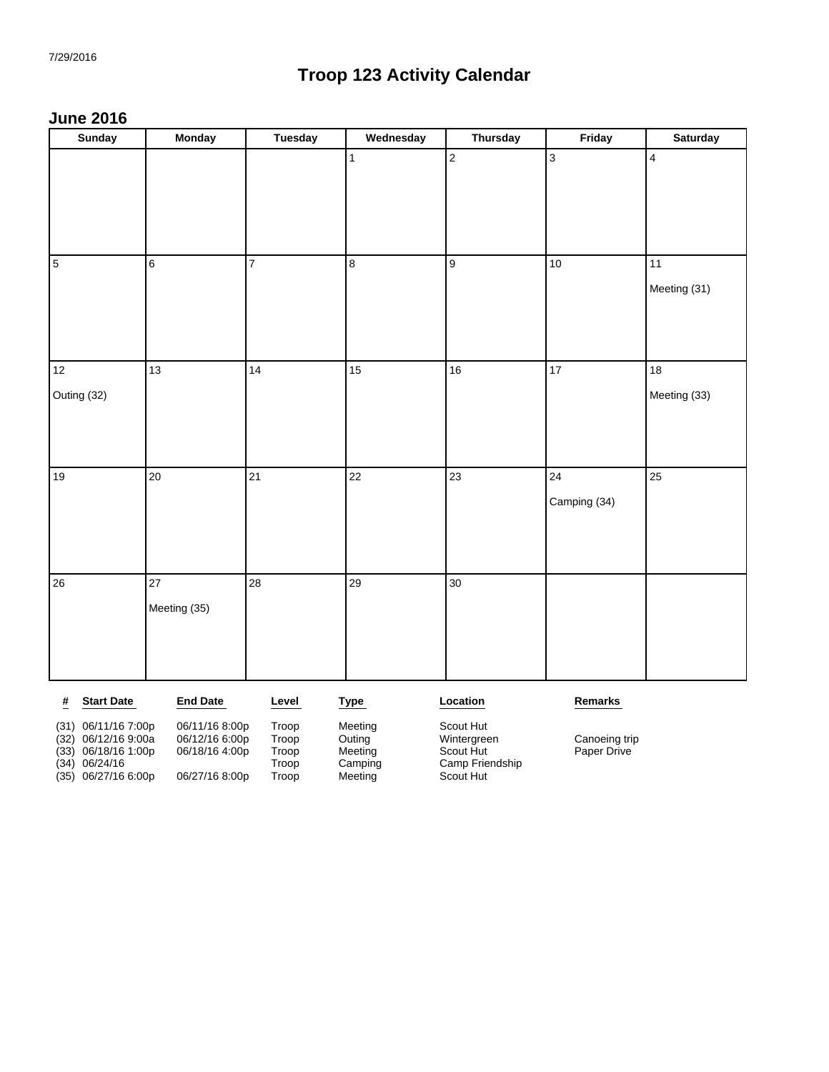#### **June 2016**

| <b>Sunday</b>                 | <b>Monday</b>   | <b>Tuesday</b> | Wednesday   | <b>Thursday</b>  | Friday          | <b>Saturday</b>         |
|-------------------------------|-----------------|----------------|-------------|------------------|-----------------|-------------------------|
|                               |                 |                | $\vert$ 1   | $\sqrt{2}$       | $\overline{3}$  | $\overline{\mathbf{4}}$ |
|                               |                 |                |             |                  |                 |                         |
|                               |                 |                |             |                  |                 |                         |
|                               |                 |                |             |                  |                 |                         |
| 5                             | 6               | $\overline{7}$ | 8           | $\boldsymbol{9}$ | $10$            | 11                      |
|                               |                 |                |             |                  |                 | Meeting (31)            |
|                               |                 |                |             |                  |                 |                         |
|                               |                 |                |             |                  |                 |                         |
| 12                            | 13              | 14             | 15          | 16               | $\overline{17}$ | $18\,$                  |
| Outing (32)                   |                 |                |             |                  |                 | Meeting (33)            |
|                               |                 |                |             |                  |                 |                         |
|                               |                 |                |             |                  |                 |                         |
| 19                            | 20              | 21             | 22          | 23               | 24              | 25                      |
|                               |                 |                |             |                  | Camping (34)    |                         |
|                               |                 |                |             |                  |                 |                         |
|                               |                 |                |             |                  |                 |                         |
| $26\,$                        | 27              | 28             | 29          | 30               |                 |                         |
|                               | Meeting (35)    |                |             |                  |                 |                         |
|                               |                 |                |             |                  |                 |                         |
|                               |                 |                |             |                  |                 |                         |
| <b>Start Date</b><br><u>#</u> | <b>End Date</b> | Level          | <b>Type</b> | Location         | Remarks         |                         |

(33) 06/18/16 1:00p 06/18/16 4:00p Troop Meeting Scout Hut Paper Drive (34) 06/24/16 Troop Camping Camp Friendship

(31) 06/11/16 7:00p 06/11/16 8:00p Troop Meeting Scout Hut (35) 06/27/16 6:00p 06/27/16 8:00p Troop Meeting Scout Hut

(32) 06/12/16 9:00a 06/12/16 6:00p Troop Outing Wintergreen Canoeing trip<br>
(33) 06/18/16 1:00p 06/18/16 4:00p Troop Meeting Scout Hut Paper Drive<br>
(34) 06/24/16 Troop Camping Camp Friendship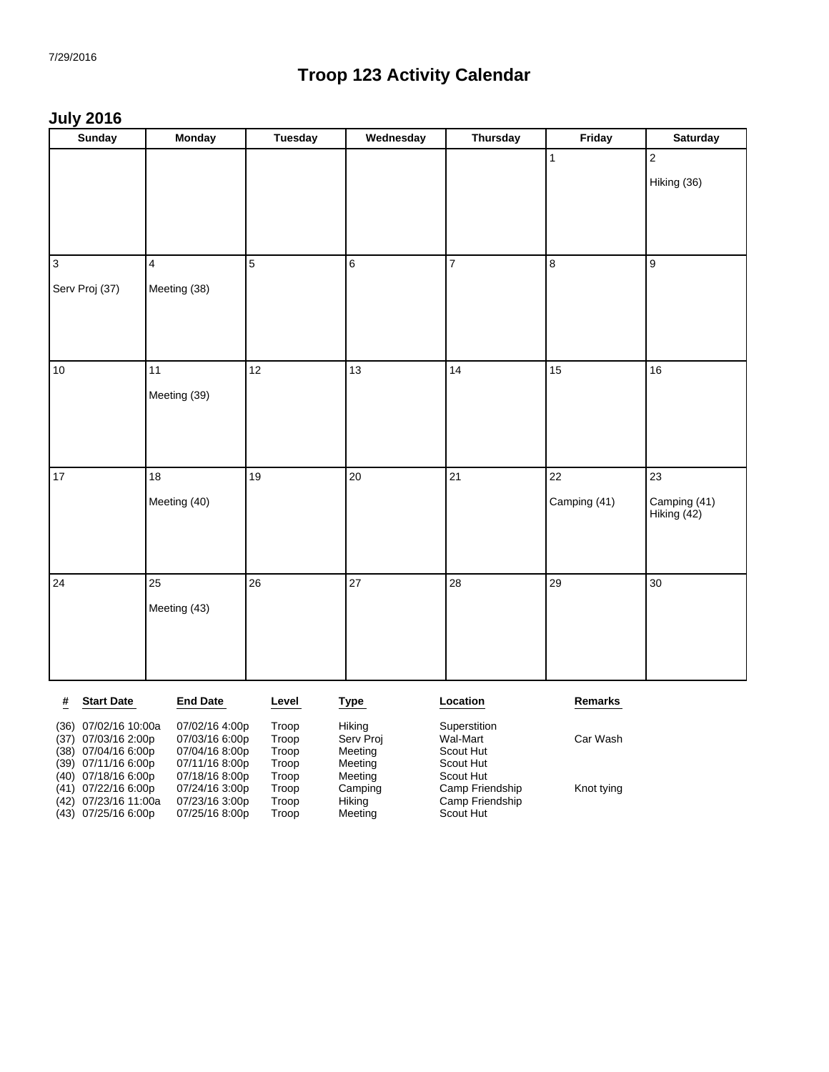#### **July 2016**

| <b>Sunday</b>                                 | <b>Monday</b>                    | <b>Tuesday</b> | Wednesday            | <b>Thursday</b>          | Friday       | <b>Saturday</b> |
|-----------------------------------------------|----------------------------------|----------------|----------------------|--------------------------|--------------|-----------------|
|                                               |                                  |                |                      |                          | $\mathbf{1}$ | $\mathbf 2$     |
|                                               |                                  |                |                      |                          |              | Hiking (36)     |
|                                               |                                  |                |                      |                          |              |                 |
|                                               |                                  |                |                      |                          |              |                 |
|                                               |                                  |                |                      |                          |              |                 |
| $\vert$ 3                                     | $\overline{4}$                   | $\overline{5}$ | $\,6$                | $\overline{7}$           | 8            | $\mathsf g$     |
| Serv Proj (37)                                | Meeting (38)                     |                |                      |                          |              |                 |
|                                               |                                  |                |                      |                          |              |                 |
|                                               |                                  |                |                      |                          |              |                 |
| 10                                            | 11                               | 12             | 13                   | 14                       | 15           | 16              |
|                                               |                                  |                |                      |                          |              |                 |
|                                               | Meeting (39)                     |                |                      |                          |              |                 |
|                                               |                                  |                |                      |                          |              |                 |
|                                               |                                  |                |                      |                          |              |                 |
| 17                                            | 18                               | 19             | 20                   | 21                       | 22           | 23              |
|                                               | Meeting (40)                     |                |                      |                          | Camping (41) | Camping (41)    |
|                                               |                                  |                |                      |                          |              | Hiking (42)     |
|                                               |                                  |                |                      |                          |              |                 |
|                                               |                                  |                |                      |                          |              |                 |
| 24                                            | 25                               | 26             | 27                   | 28                       | 29           | 30              |
|                                               | Meeting (43)                     |                |                      |                          |              |                 |
|                                               |                                  |                |                      |                          |              |                 |
|                                               |                                  |                |                      |                          |              |                 |
|                                               |                                  |                |                      |                          |              |                 |
| #<br><b>Start Date</b>                        | <b>End Date</b>                  | Level          | <b>Type</b>          | Location                 | Remarks      |                 |
| (36) 07/02/16 10:00a                          | 07/02/16 4:00p<br>07/03/16 6:00p | Troop<br>Troop | Hiking               | Superstition<br>Wal-Mart | Car Wash     |                 |
| 07/03/16 2:00p<br>(37)<br>(38) 07/04/16 6:00p | 07/04/16 8:00p                   | Troop          | Serv Proj<br>Meeting | Scout Hut                |              |                 |
| (39) 07/11/16 6:00p                           | 07/11/16 8:00p                   | Troop          | Meeting              | Scout Hut                |              |                 |

(40) 07/18/16 6:00p 07/18/16 8:00p Troop Meeting Scout Hut

(42) 07/23/16 11:00a 07/23/16 3:00p Troop Hiking Camp Friendship (43) 07/25/16 6:00p 07/25/16 8:00p Troop Meeting Scout Hut

(41) 07/22/16 6:00p 07/24/16 3:00p Troop Camping Camp Friendship Knot tying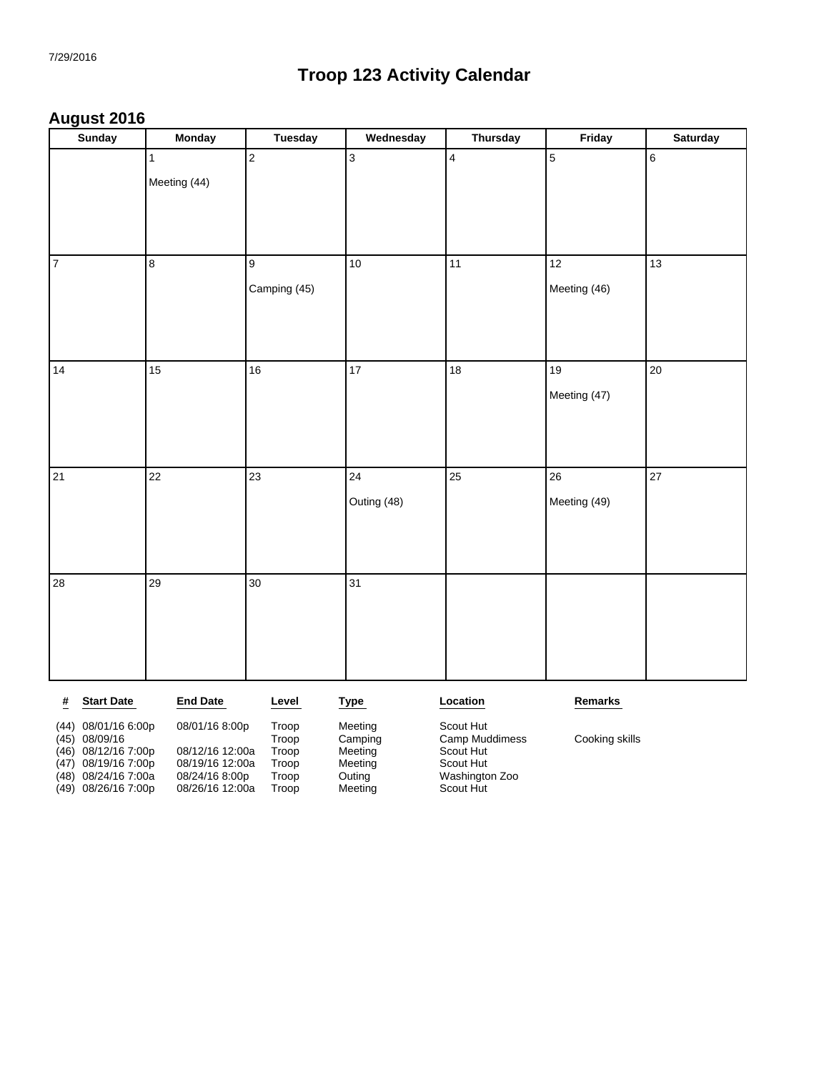#### **August 2016**

|                | <b>Sunday</b>     | <b>Monday</b>                | <b>Tuesday</b>          | Wednesday      | <b>Thursday</b> | Friday         | <b>Saturday</b> |
|----------------|-------------------|------------------------------|-------------------------|----------------|-----------------|----------------|-----------------|
|                |                   | $\mathbf{1}$<br>Meeting (44) | $\overline{\mathbf{c}}$ | $\overline{3}$ | $\overline{4}$  | $\overline{5}$ | $6\overline{6}$ |
|                |                   |                              |                         |                |                 |                |                 |
| $\overline{7}$ |                   | 8                            | $\overline{9}$          | 10             | 11              | 12             | 13              |
|                |                   |                              | Camping (45)            |                |                 | Meeting (46)   |                 |
|                |                   |                              |                         |                |                 |                |                 |
|                |                   |                              |                         |                |                 |                |                 |
| 14             |                   | 15                           | $16\,$                  | $17\,$         | 18              | 19             | $20\,$          |
|                |                   |                              |                         |                |                 | Meeting (47)   |                 |
|                |                   |                              |                         |                |                 |                |                 |
| 21             |                   | $\overline{22}$              | $\overline{23}$         | 24             | $25$            | 26             | 27              |
|                |                   |                              |                         | Outing (48)    |                 | Meeting (49)   |                 |
|                |                   |                              |                         |                |                 |                |                 |
|                |                   |                              |                         |                |                 |                |                 |
| 28             |                   | 29                           | 30 <sup>°</sup>         | 31             |                 |                |                 |
|                |                   |                              |                         |                |                 |                |                 |
|                |                   |                              |                         |                |                 |                |                 |
|                |                   |                              |                         |                |                 |                |                 |
| #              | <b>Start Date</b> | <b>End Date</b>              | Level                   | <b>Type</b>    | Location        | Remarks        |                 |

| $(44)$ 08/01/16 6:00p<br>$(45)$ 08/09/16                                                   | 08/01/16 8:00p                                                          | Troop<br>Troop                   | Meeting<br>Camping                      | Scout Hut<br>Camp Muddimess                           | Cooking skills |
|--------------------------------------------------------------------------------------------|-------------------------------------------------------------------------|----------------------------------|-----------------------------------------|-------------------------------------------------------|----------------|
| $(46)$ 08/12/16 7:00p<br>(47) 08/19/16 7:00p<br>(48) 08/24/16 7:00a<br>(49) 08/26/16 7:00p | 08/12/16 12:00a<br>08/19/16 12:00a<br>08/24/16 8:00p<br>08/26/16 12:00a | Troop<br>Troop<br>Troop<br>Troop | Meeting<br>Meeting<br>Outing<br>Meeting | Scout Hut<br>Scout Hut<br>Washington Zoo<br>Scout Hut |                |
|                                                                                            |                                                                         |                                  |                                         |                                                       |                |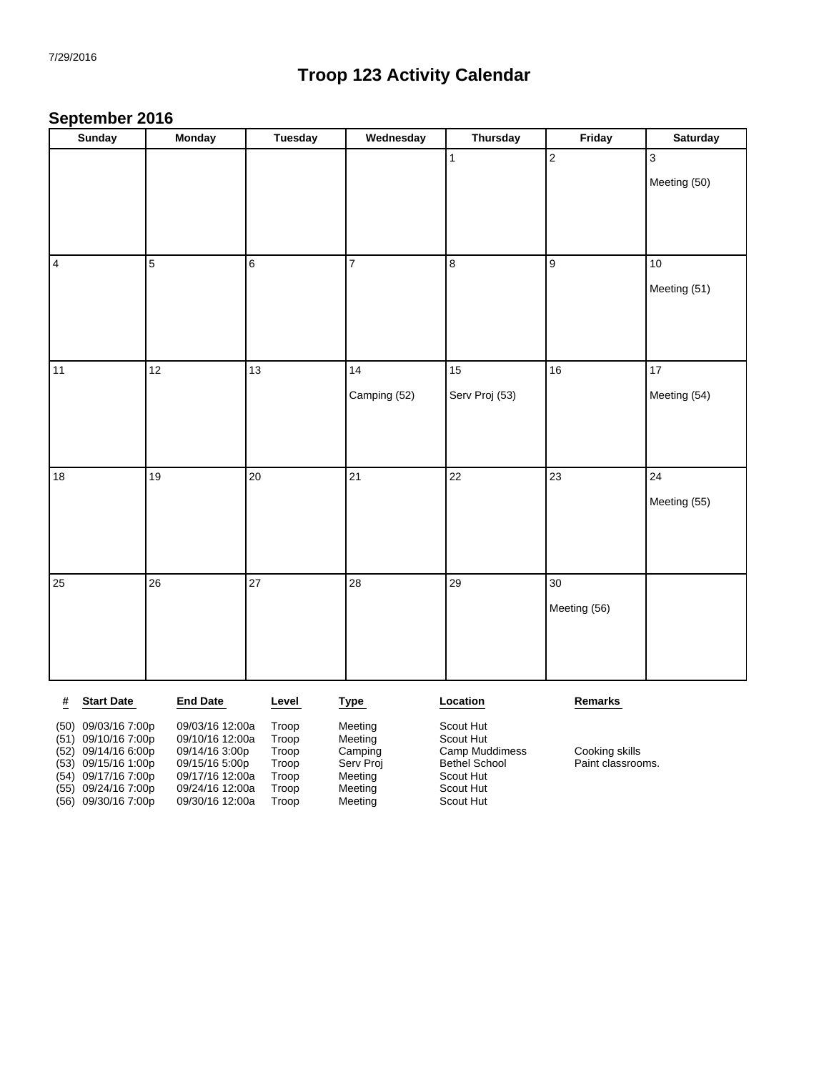#### **September 2016**

|      | <b>Sunday</b>     | <b>Monday</b>   | <b>Tuesday</b> | Wednesday    | <b>Thursday</b> | Friday           | <b>Saturday</b>           |
|------|-------------------|-----------------|----------------|--------------|-----------------|------------------|---------------------------|
|      |                   |                 |                |              | $\mathbf{1}$    | $\overline{2}$   | $\ensuremath{\mathsf{3}}$ |
|      |                   |                 |                |              |                 |                  | Meeting (50)              |
|      |                   |                 |                |              |                 |                  |                           |
|      |                   |                 |                |              |                 |                  |                           |
|      |                   |                 |                |              |                 |                  |                           |
| 4    |                   | $\overline{5}$  | $6\phantom{a}$ | 7            | $\bf 8$         | $\boldsymbol{9}$ | $10\,$                    |
|      |                   |                 |                |              |                 |                  | Meeting (51)              |
|      |                   |                 |                |              |                 |                  |                           |
|      |                   |                 |                |              |                 |                  |                           |
| 11   |                   | 12              | 13             | 14           | 15              | 16               | 17                        |
|      |                   |                 |                |              |                 |                  |                           |
|      |                   |                 |                | Camping (52) | Serv Proj (53)  |                  | Meeting (54)              |
|      |                   |                 |                |              |                 |                  |                           |
|      |                   |                 |                |              |                 |                  |                           |
| $18$ |                   | 19              | 20             | 21           | 22              | 23               | 24                        |
|      |                   |                 |                |              |                 |                  | Meeting (55)              |
|      |                   |                 |                |              |                 |                  |                           |
|      |                   |                 |                |              |                 |                  |                           |
|      |                   |                 |                |              |                 |                  |                           |
| 25   |                   | 26              | 27             | 28           | 29              | 30               |                           |
|      |                   |                 |                |              |                 | Meeting (56)     |                           |
|      |                   |                 |                |              |                 |                  |                           |
|      |                   |                 |                |              |                 |                  |                           |
|      |                   |                 |                |              |                 |                  |                           |
| #    | <b>Start Date</b> | <b>End Date</b> | Level          | <b>Type</b>  | Location        | Remarks          |                           |

| (50)<br>(51) | 09/03/16 7:00p<br>09/10/16 7:00p<br>(52) 09/14/16 6:00p<br>$(53)$ 09/15/16 1:00p<br>(54) 09/17/16 7:00p<br>(55) 09/24/16 7:00p<br>(56) 09/30/16 7:00p | 09/03/16 12:00a<br>09/10/16 12:00a<br>09/14/16 3:00p<br>09/15/16 5:00p<br>09/17/16 12:00a<br>09/24/16 12:00a<br>09/30/16 12:00a | Troop<br>Troop<br>Troop<br>Troop<br>Troop<br>Troop<br>Troop | Meeting<br>Meeting<br>Camping<br>Serv Proj<br>Meeting<br>Meeting<br>Meeting | Scout Hut<br>Scout Hut<br>Camp Muddimess<br><b>Bethel School</b><br>Scout Hut<br>Scout Hut<br>Scout Hut | Cooking skills<br>Paint classrooms. |
|--------------|-------------------------------------------------------------------------------------------------------------------------------------------------------|---------------------------------------------------------------------------------------------------------------------------------|-------------------------------------------------------------|-----------------------------------------------------------------------------|---------------------------------------------------------------------------------------------------------|-------------------------------------|
|              |                                                                                                                                                       |                                                                                                                                 |                                                             |                                                                             |                                                                                                         |                                     |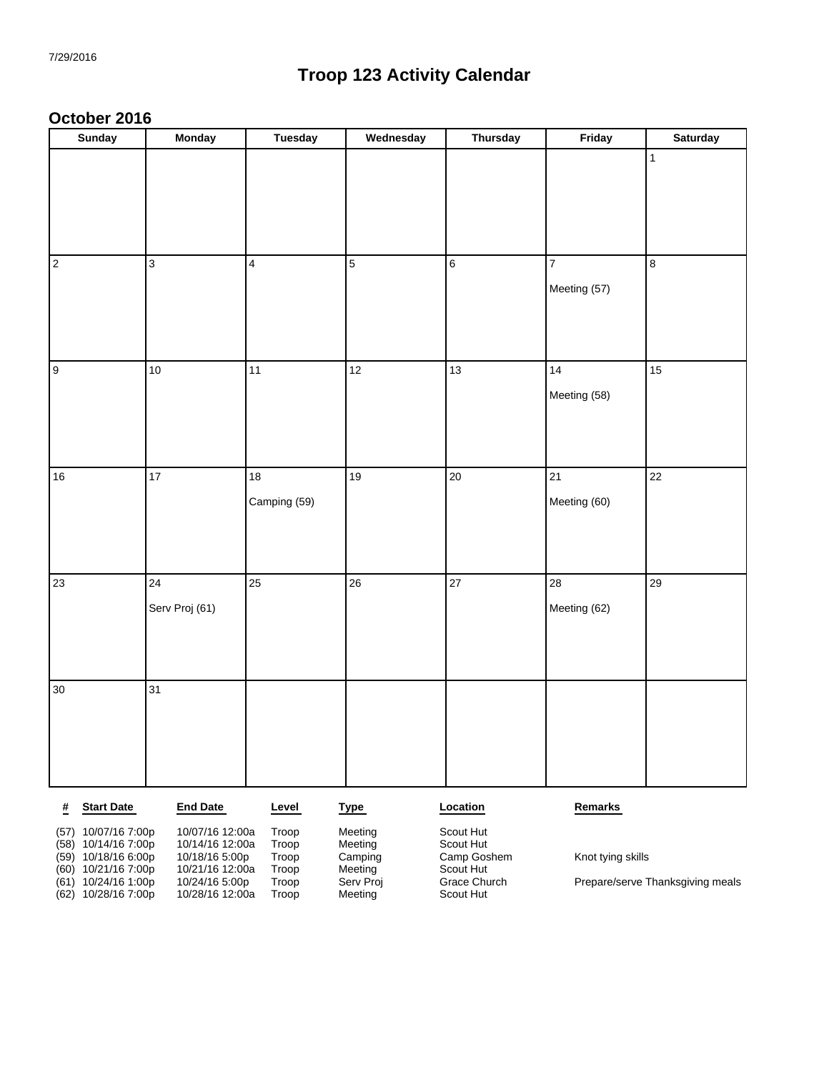#### **October 2016**

| Sunday               | <b>Monday</b>  | <b>Tuesday</b> | Wednesday      | <b>Thursday</b>  | Friday          | <b>Saturday</b>         |
|----------------------|----------------|----------------|----------------|------------------|-----------------|-------------------------|
|                      |                |                |                |                  |                 | $\vert$ 1               |
|                      |                |                |                |                  |                 |                         |
|                      |                |                |                |                  |                 |                         |
| $\vert$ <sub>2</sub> | $\overline{3}$ | $\overline{4}$ | $\overline{5}$ | $\boldsymbol{6}$ | $\overline{7}$  | $\overline{\mathbf{8}}$ |
|                      |                |                |                |                  | Meeting (57)    |                         |
|                      |                |                |                |                  |                 |                         |
| 9                    | $10$           | 11             | 12             | 13               | 14              | 15                      |
|                      |                |                |                |                  | Meeting (58)    |                         |
|                      |                |                |                |                  |                 |                         |
|                      |                |                |                |                  |                 |                         |
| $16\,$               | 17             | 18             | 19             | $20\,$           | $\overline{21}$ | 22                      |
|                      |                | Camping (59)   |                |                  | Meeting (60)    |                         |
|                      |                |                |                |                  |                 |                         |
| 23                   | 24             | 25             | 26             | 27               | 28              | 29                      |
|                      | Serv Proj (61) |                |                |                  | Meeting (62)    |                         |
|                      |                |                |                |                  |                 |                         |
|                      |                |                |                |                  |                 |                         |
| $30\,$               | 31             |                |                |                  |                 |                         |
|                      |                |                |                |                  |                 |                         |
|                      |                |                |                |                  |                 |                         |
|                      |                |                |                |                  |                 |                         |

| #    | <b>Start Date</b>     | <b>End Date</b> | Level | <u>Type</u> | Location     | Remarks                          |
|------|-----------------------|-----------------|-------|-------------|--------------|----------------------------------|
| (57) | 10/07/16 7:00p        | 10/07/16 12:00a | Troop | Meeting     | Scout Hut    |                                  |
|      | $(58)$ 10/14/16 7:00p | 10/14/16 12:00a | Troop | Meeting     | Scout Hut    |                                  |
|      | $(59)$ 10/18/16 6:00p | 10/18/16 5:00p  | Troop | Camping     | Camp Goshem  | Knot tying skills                |
|      | $(60)$ 10/21/16 7:00p | 10/21/16 12:00a | Troop | Meeting     | Scout Hut    |                                  |
| (61) | 10/24/16 1:00p        | 10/24/16 5:00p  | Troop | Serv Proj   | Grace Church | Prepare/serve Thanksgiving meals |
|      | $(62)$ 10/28/16 7:00p | 10/28/16 12:00a | Troop | Meeting     | Scout Hut    |                                  |
|      |                       |                 |       |             |              |                                  |